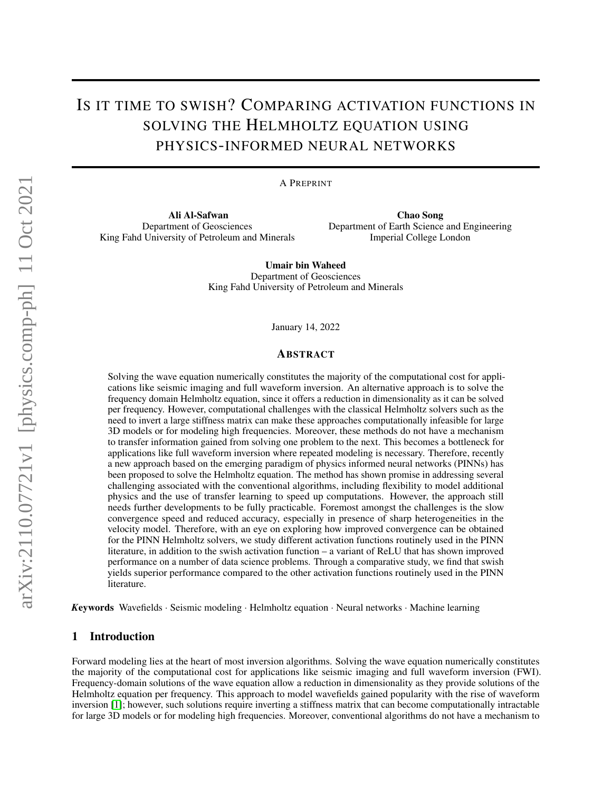# IS IT TIME TO SWISH? COMPARING ACTIVATION FUNCTIONS IN SOLVING THE HELMHOLTZ EQUATION USING PHYSICS-INFORMED NEURAL NETWORKS

A PREPRINT

Ali Al-Safwan Department of Geosciences King Fahd University of Petroleum and Minerals

Chao Song Department of Earth Science and Engineering Imperial College London

Umair bin Waheed Department of Geosciences King Fahd University of Petroleum and Minerals

January 14, 2022

#### ABSTRACT

Solving the wave equation numerically constitutes the majority of the computational cost for applications like seismic imaging and full waveform inversion. An alternative approach is to solve the frequency domain Helmholtz equation, since it offers a reduction in dimensionality as it can be solved per frequency. However, computational challenges with the classical Helmholtz solvers such as the need to invert a large stiffness matrix can make these approaches computationally infeasible for large 3D models or for modeling high frequencies. Moreover, these methods do not have a mechanism to transfer information gained from solving one problem to the next. This becomes a bottleneck for applications like full waveform inversion where repeated modeling is necessary. Therefore, recently a new approach based on the emerging paradigm of physics informed neural networks (PINNs) has been proposed to solve the Helmholtz equation. The method has shown promise in addressing several challenging associated with the conventional algorithms, including flexibility to model additional physics and the use of transfer learning to speed up computations. However, the approach still needs further developments to be fully practicable. Foremost amongst the challenges is the slow convergence speed and reduced accuracy, especially in presence of sharp heterogeneities in the velocity model. Therefore, with an eye on exploring how improved convergence can be obtained for the PINN Helmholtz solvers, we study different activation functions routinely used in the PINN literature, in addition to the swish activation function – a variant of ReLU that has shown improved performance on a number of data science problems. Through a comparative study, we find that swish yields superior performance compared to the other activation functions routinely used in the PINN literature.

*K*eywords Wavefields · Seismic modeling · Helmholtz equation · Neural networks · Machine learning

## 1 Introduction

Forward modeling lies at the heart of most inversion algorithms. Solving the wave equation numerically constitutes the majority of the computational cost for applications like seismic imaging and full waveform inversion (FWI). Frequency-domain solutions of the wave equation allow a reduction in dimensionality as they provide solutions of the Helmholtz equation per frequency. This approach to model wavefields gained popularity with the rise of waveform inversion [\[1\]](#page-4-0); however, such solutions require inverting a stiffness matrix that can become computationally intractable for large 3D models or for modeling high frequencies. Moreover, conventional algorithms do not have a mechanism to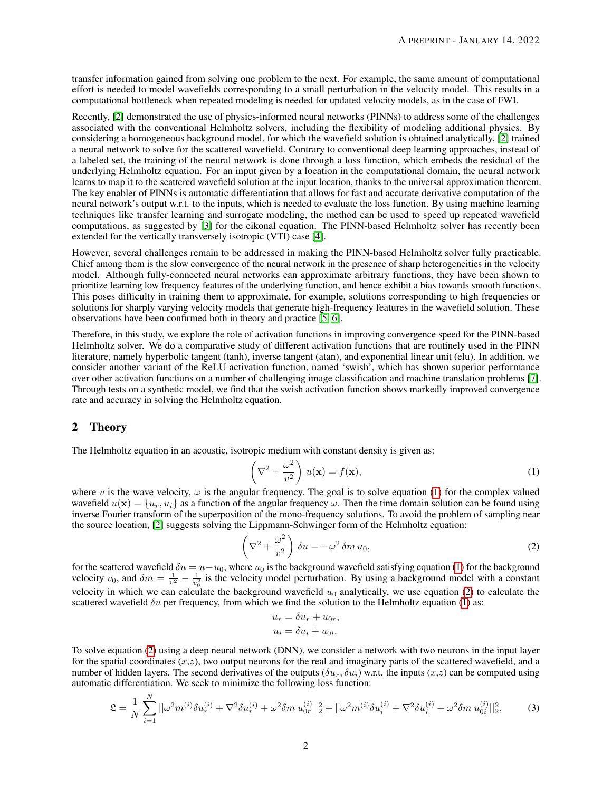transfer information gained from solving one problem to the next. For example, the same amount of computational effort is needed to model wavefields corresponding to a small perturbation in the velocity model. This results in a computational bottleneck when repeated modeling is needed for updated velocity models, as in the case of FWI.

Recently, [\[2\]](#page-4-1) demonstrated the use of physics-informed neural networks (PINNs) to address some of the challenges associated with the conventional Helmholtz solvers, including the flexibility of modeling additional physics. By considering a homogeneous background model, for which the wavefield solution is obtained analytically, [\[2\]](#page-4-1) trained a neural network to solve for the scattered wavefield. Contrary to conventional deep learning approaches, instead of a labeled set, the training of the neural network is done through a loss function, which embeds the residual of the underlying Helmholtz equation. For an input given by a location in the computational domain, the neural network learns to map it to the scattered wavefield solution at the input location, thanks to the universal approximation theorem. The key enabler of PINNs is automatic differentiation that allows for fast and accurate derivative computation of the neural network's output w.r.t. to the inputs, which is needed to evaluate the loss function. By using machine learning techniques like transfer learning and surrogate modeling, the method can be used to speed up repeated wavefield computations, as suggested by [\[3\]](#page-4-2) for the eikonal equation. The PINN-based Helmholtz solver has recently been extended for the vertically transversely isotropic (VTI) case [\[4\]](#page-4-3).

However, several challenges remain to be addressed in making the PINN-based Helmholtz solver fully practicable. Chief among them is the slow convergence of the neural network in the presence of sharp heterogeneities in the velocity model. Although fully-connected neural networks can approximate arbitrary functions, they have been shown to prioritize learning low frequency features of the underlying function, and hence exhibit a bias towards smooth functions. This poses difficulty in training them to approximate, for example, solutions corresponding to high frequencies or solutions for sharply varying velocity models that generate high-frequency features in the wavefield solution. These observations have been confirmed both in theory and practice [\[5,](#page-4-4) [6\]](#page-4-5).

Therefore, in this study, we explore the role of activation functions in improving convergence speed for the PINN-based Helmholtz solver. We do a comparative study of different activation functions that are routinely used in the PINN literature, namely hyperbolic tangent (tanh), inverse tangent (atan), and exponential linear unit (elu). In addition, we consider another variant of the ReLU activation function, named 'swish', which has shown superior performance over other activation functions on a number of challenging image classification and machine translation problems [\[7\]](#page-4-6). Through tests on a synthetic model, we find that the swish activation function shows markedly improved convergence rate and accuracy in solving the Helmholtz equation.

#### 2 Theory

The Helmholtz equation in an acoustic, isotropic medium with constant density is given as:

<span id="page-1-0"></span>
$$
\left(\nabla^2 + \frac{\omega^2}{v^2}\right)u(\mathbf{x}) = f(\mathbf{x}),\tag{1}
$$

where v is the wave velocity,  $\omega$  is the angular frequency. The goal is to solve equation [\(1\)](#page-1-0) for the complex valued wavefield  $u(\mathbf{x}) = \{u_r, u_i\}$  as a function of the angular frequency  $\omega$ . Then the time domain solution can be found using inverse Fourier transform of the superposition of the mono-frequency solutions. To avoid the problem of sampling near the source location, [\[2\]](#page-4-1) suggests solving the Lippmann-Schwinger form of the Helmholtz equation:

$$
\left(\nabla^2 + \frac{\omega^2}{v^2}\right)\delta u = -\omega^2 \delta m u_0,\tag{2}
$$

for the scattered wavefield  $\delta u = u - u_0$ , where  $u_0$  is the background wavefield satisfying equation [\(1\)](#page-1-0) for the background velocity  $v_0$ , and  $\delta m = \frac{1}{v^2} - \frac{1}{v_0^2}$  is the velocity model perturbation. By using a background model with a constant velocity in which we can calculate the background wavefield  $u_0$  analytically, we use equation [\(2\)](#page-1-1) to calculate the scattered wavefield  $\delta u$  per frequency, from which we find the solution to the Helmholtz equation [\(1\)](#page-1-0) as:

<span id="page-1-2"></span><span id="page-1-1"></span>
$$
u_r = \delta u_r + u_{0r},
$$
  

$$
u_i = \delta u_i + u_{0i}.
$$

To solve equation [\(2\)](#page-1-1) using a deep neural network (DNN), we consider a network with two neurons in the input layer for the spatial coordinates  $(x, z)$ , two output neurons for the real and imaginary parts of the scattered wavefield, and a number of hidden layers. The second derivatives of the outputs  $(\delta u_r, \delta u_i)$  w.r.t. the inputs  $(x,z)$  can be computed using automatic differentiation. We seek to minimize the following loss function:

$$
\mathfrak{L} = \frac{1}{N} \sum_{i=1}^{N} ||\omega^2 m^{(i)} \delta u_r^{(i)} + \nabla^2 \delta u_r^{(i)} + \omega^2 \delta m u_{0r}^{(i)}||_2^2 + ||\omega^2 m^{(i)} \delta u_i^{(i)} + \nabla^2 \delta u_i^{(i)} + \omega^2 \delta m u_{0i}^{(i)}||_2^2, \tag{3}
$$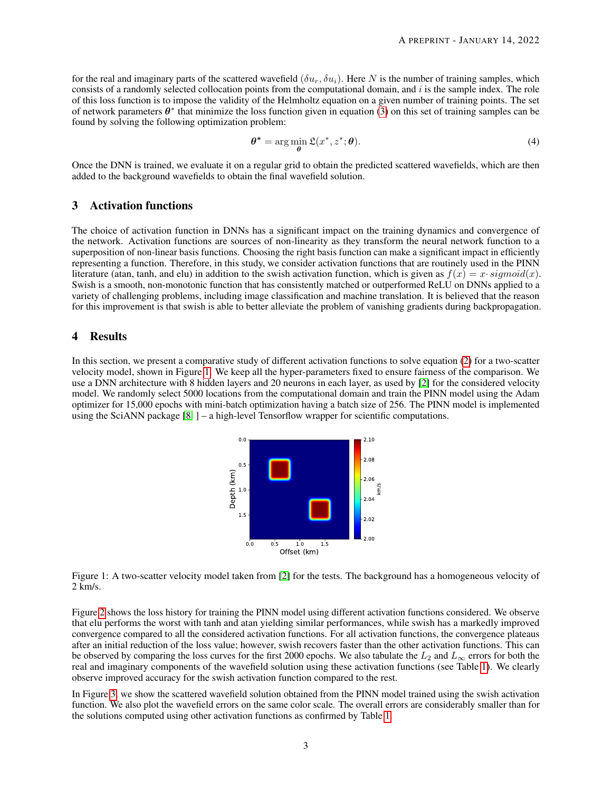for the real and imaginary parts of the scattered wavefield  $(\delta u_r, \delta u_i)$ . Here N is the number of training samples, which consists of a randomly selected collocation points from the computational domain, and  $i$  is the sample index. The role of this loss function is to impose the validity of the Helmholtz equation on a given number of training points. The set of network parameters  $\theta^*$  that minimize the loss function given in equation [\(3\)](#page-1-2) on this set of training samples can be found by solving the following optimization problem:

$$
\boldsymbol{\theta}^* = \arg\min_{\boldsymbol{\theta}} \mathfrak{L}(x^*, z^*; \boldsymbol{\theta}).
$$
\n(4)

Once the DNN is trained, we evaluate it on a regular grid to obtain the predicted scattered wavefields, which are then added to the background wavefields to obtain the final wavefield solution.

### 3 Activation functions

The choice of activation function in DNNs has a significant impact on the training dynamics and convergence of the network. Activation functions are sources of non-linearity as they transform the neural network function to a superposition of non-linear basis functions. Choosing the right basis function can make a significant impact in efficiently representing a function. Therefore, in this study, we consider activation functions that are routinely used in the PINN literature (atan, tanh, and elu) in addition to the swish activation function, which is given as  $f(x) = x \cdot sigmoid(x)$ . Swish is a smooth, non-monotonic function that has consistently matched or outperformed ReLU on DNNs applied to a variety of challenging problems, including image classification and machine translation. It is believed that the reason for this improvement is that swish is able to better alleviate the problem of vanishing gradients during backpropagation.

## 4 Results

<span id="page-2-0"></span>In this section, we present a comparative study of different activation functions to solve equation [\(2\)](#page-1-1) for a two-scatter velocity model, shown in Figure [1.](#page-2-0) We keep all the hyper-parameters fixed to ensure fairness of the comparison. We use a DNN architecture with 8 hidden layers and 20 neurons in each layer, as used by [\[2\]](#page-4-1) for the considered velocity model. We randomly select 5000 locations from the computational domain and train the PINN model using the Adam optimizer for 15,000 epochs with mini-batch optimization having a batch size of 256. The PINN model is implemented using the SciANN package [\[8,](#page-4-7) ] – a high-level Tensorflow wrapper for scientific computations.



Figure 1: A two-scatter velocity model taken from [\[2\]](#page-4-1) for the tests. The background has a homogeneous velocity of 2 km/s.

Figure [2](#page-3-0) shows the loss history for training the PINN model using different activation functions considered. We observe that elu performs the worst with tanh and atan yielding similar performances, while swish has a markedly improved convergence compared to all the considered activation functions. For all activation functions, the convergence plateaus after an initial reduction of the loss value; however, swish recovers faster than the other activation functions. This can be observed by comparing the loss curves for the first 2000 epochs. We also tabulate the  $L_2$  and  $L_\infty$  errors for both the real and imaginary components of the wavefield solution using these activation functions (see Table [1\)](#page-3-1). We clearly observe improved accuracy for the swish activation function compared to the rest.

In Figure [3,](#page-3-2) we show the scattered wavefield solution obtained from the PINN model trained using the swish activation function. We also plot the wavefield errors on the same color scale. The overall errors are considerably smaller than for the solutions computed using other activation functions as confirmed by Table [1.](#page-3-1)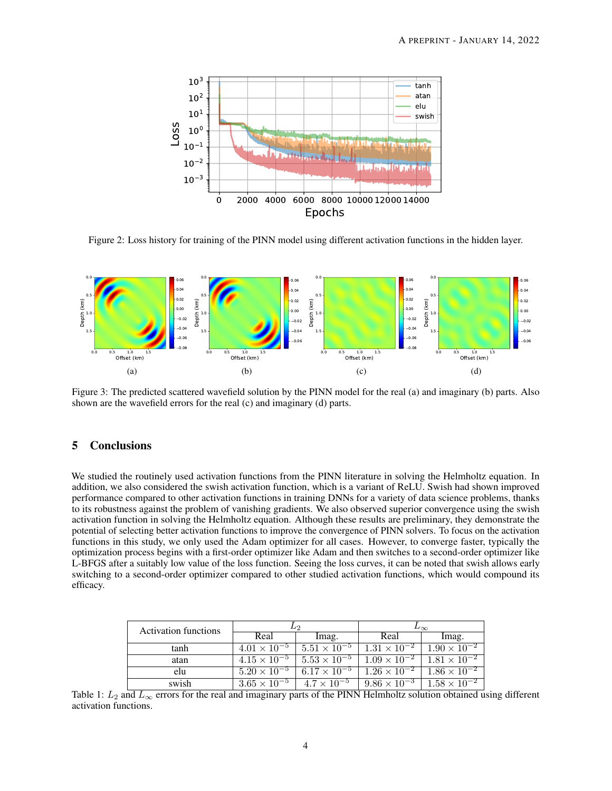<span id="page-3-0"></span>

Figure 2: Loss history for training of the PINN model using different activation functions in the hidden layer.

<span id="page-3-2"></span>

Figure 3: The predicted scattered wavefield solution by the PINN model for the real (a) and imaginary (b) parts. Also shown are the wavefield errors for the real (c) and imaginary (d) parts.

## 5 Conclusions

We studied the routinely used activation functions from the PINN literature in solving the Helmholtz equation. In addition, we also considered the swish activation function, which is a variant of ReLU. Swish had shown improved performance compared to other activation functions in training DNNs for a variety of data science problems, thanks to its robustness against the problem of vanishing gradients. We also observed superior convergence using the swish activation function in solving the Helmholtz equation. Although these results are preliminary, they demonstrate the potential of selecting better activation functions to improve the convergence of PINN solvers. To focus on the activation functions in this study, we only used the Adam optimizer for all cases. However, to converge faster, typically the optimization process begins with a first-order optimizer like Adam and then switches to a second-order optimizer like L-BFGS after a suitably low value of the loss function. Seeing the loss curves, it can be noted that swish allows early switching to a second-order optimizer compared to other studied activation functions, which would compound its efficacy.

<span id="page-3-1"></span>

| <b>Activation functions</b> | L2                    |                       | $\mathbf{L}_{\infty}$ |                       |
|-----------------------------|-----------------------|-----------------------|-----------------------|-----------------------|
|                             | Real                  | lmag.                 | Real                  | lmag.                 |
| tanh                        | $4.01 \times 10^{-5}$ | $5.51 \times 10^{-5}$ | $1.31 \times 10^{-2}$ | $1.90 \times 10^{-2}$ |
| atan                        | $4.15 \times 10^{-5}$ | $5.53 \times 10^{-5}$ | $1.09 \times 10^{-2}$ | $1.81 \times 10^{-2}$ |
| elu                         | $5.20 \times 10^{-5}$ | $6.17 \times 10^{-5}$ | $1.26 \times 10^{-2}$ | $1.86 \times 10^{-2}$ |
| swish                       | $3.65 \times 10^{-5}$ | $4.7 \times 10^{-5}$  | $9.86 \times 10^{-3}$ | $1.58 \times 10^{-2}$ |

Table 1:  $L_2$  and  $L_\infty$  errors for the real and imaginary parts of the PINN Helmholtz solution obtained using different activation functions.